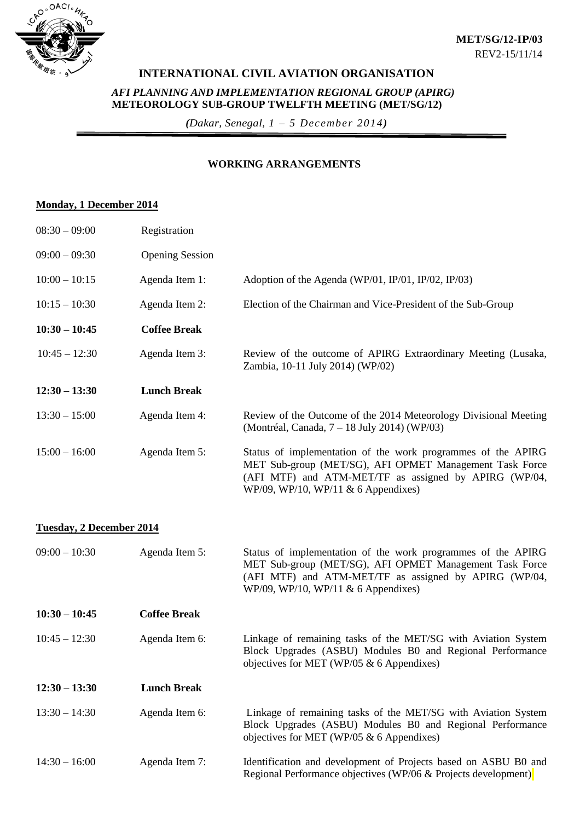

## **INTERNATIONAL CIVIL AVIATION ORGANISATION**

#### *AFI PLANNING AND IMPLEMENTATION REGIONAL GROUP (APIRG)* **METEOROLOGY SUB-GROUP TWELFTH MEETING (MET/SG/12)**

*(Dakar, Senegal, 1 – 5 December 2014)*

#### **WORKING ARRANGEMENTS**

### **Monday, 1 December 2014**

| $08:30 - 09:00$                 | Registration           |                                                                                                                                                                                                                            |  |  |
|---------------------------------|------------------------|----------------------------------------------------------------------------------------------------------------------------------------------------------------------------------------------------------------------------|--|--|
| $09:00 - 09:30$                 | <b>Opening Session</b> |                                                                                                                                                                                                                            |  |  |
| $10:00 - 10:15$                 | Agenda Item 1:         | Adoption of the Agenda (WP/01, IP/01, IP/02, IP/03)                                                                                                                                                                        |  |  |
| $10:15 - 10:30$                 | Agenda Item 2:         | Election of the Chairman and Vice-President of the Sub-Group                                                                                                                                                               |  |  |
| $10:30 - 10:45$                 | <b>Coffee Break</b>    |                                                                                                                                                                                                                            |  |  |
| $10:45 - 12:30$                 | Agenda Item 3:         | Review of the outcome of APIRG Extraordinary Meeting (Lusaka,<br>Zambia, 10-11 July 2014) (WP/02)                                                                                                                          |  |  |
| $12:30 - 13:30$                 | <b>Lunch Break</b>     |                                                                                                                                                                                                                            |  |  |
| $13:30 - 15:00$                 | Agenda Item 4:         | Review of the Outcome of the 2014 Meteorology Divisional Meeting<br>(Montréal, Canada, 7 – 18 July 2014) (WP/03)                                                                                                           |  |  |
| $15:00 - 16:00$                 | Agenda Item 5:         | Status of implementation of the work programmes of the APIRG<br>MET Sub-group (MET/SG), AFI OPMET Management Task Force<br>(AFI MTF) and ATM-MET/TF as assigned by APIRG (WP/04,<br>WP/09, WP/10, WP/11 & 6 Appendixes)    |  |  |
| <b>Tuesday, 2 December 2014</b> |                        |                                                                                                                                                                                                                            |  |  |
| $09:00 - 10:30$                 | Agenda Item 5:         | Status of implementation of the work programmes of the APIRG<br>MET Sub-group (MET/SG), AFI OPMET Management Task Force<br>(AFI MTF) and ATM-MET/TF as assigned by APIRG (WP/04,<br>WP/09, WP/10, WP/11 $\&$ 6 Appendixes) |  |  |
| $10:30 - 10:45$                 | <b>Coffee Break</b>    |                                                                                                                                                                                                                            |  |  |
| $10:45 - 12:30$                 | Agenda Item 6:         | Linkage of remaining tasks of the MET/SG with Aviation System<br>Block Upgrades (ASBU) Modules B0 and Regional Performance                                                                                                 |  |  |

|                 |                    | objectives for MET (WP/05 $\&$ 6 Appendixes)                                                                                                                              |  |
|-----------------|--------------------|---------------------------------------------------------------------------------------------------------------------------------------------------------------------------|--|
| $12:30 - 13:30$ | <b>Lunch Break</b> |                                                                                                                                                                           |  |
| $13:30 - 14:30$ | Agenda Item 6:     | Linkage of remaining tasks of the MET/SG with Aviation System<br>Block Upgrades (ASBU) Modules B0 and Regional Performance<br>objectives for MET (WP/05 $& 6$ Appendixes) |  |
| $14:30 - 16:00$ | Agenda Item 7:     | Identification and development of Projects based on ASBU B0 and<br>Regional Performance objectives (WP/06 & Projects development)                                         |  |